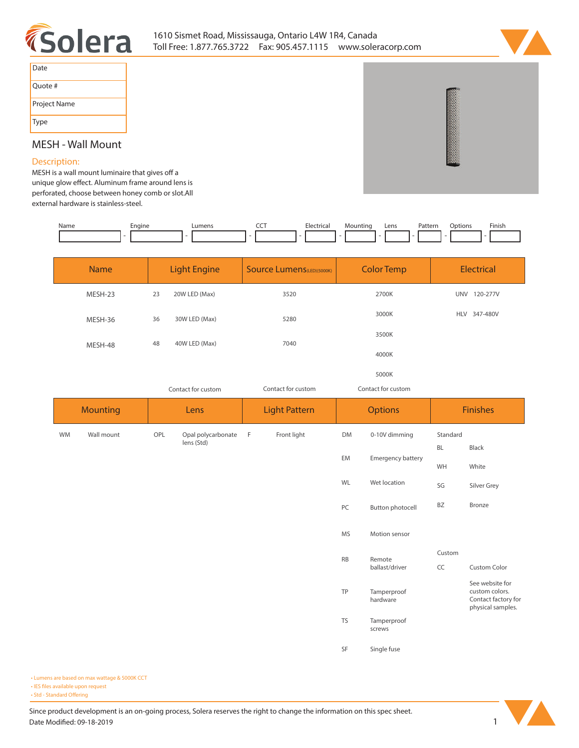



| Date         |
|--------------|
| Quote #      |
| Project Name |
| Type         |

## **MESH - Wall Mount**

## **Description:**

**MESH** is a wall mount luminaire that gives off a unique glow effect. Aluminum frame around lens is **perforated, choose between honey comb or slot.All external hardware is stainless-steel.** 

| Name | Engine | Lumens | ---<br>$\widetilde{\phantom{a}}$ | Electrical | Mounting<br>- | Lens | Pattern | Dptions | Finish |
|------|--------|--------|----------------------------------|------------|---------------|------|---------|---------|--------|
|      |        |        |                                  |            |               |      |         |         |        |

| <b>Name</b> | <b>Light Engine</b> |               | <b>Source Lumens</b> (LED)(5000K) | <b>Color Temp</b> | <b>Electrical</b> |  |
|-------------|---------------------|---------------|-----------------------------------|-------------------|-------------------|--|
| MESH-23     | 23                  | 20W LED (Max) | 3520                              | 2700K             | UNV<br>120-277V   |  |
| MESH-36     | 36                  | 30W LED (Max) | 5280                              | 3000K             | HLV 347-480V      |  |
| MESH-48     | 48                  | 40W LED (Max) | 7040                              | 3500K             |                   |  |
|             |                     |               |                                   | 4000K             |                   |  |

**5000K** *Contact for custom*

*Contact for custom Contact for custom*

|           | <b>Mounting</b> |     | Lens                             |   | <b>Light Pattern</b> | <b>Options</b> |                          | <b>Finishes</b> |                                                            |
|-----------|-----------------|-----|----------------------------------|---|----------------------|----------------|--------------------------|-----------------|------------------------------------------------------------|
| <b>WM</b> | Wall mount      | OPL | Opal polycarbonate<br>lens (Std) | F | Front light          | DM             | 0-10V dimming            | Standard        |                                                            |
|           |                 |     |                                  |   |                      | EM             | Emergency battery        | <b>BL</b><br>WH | Black<br>White                                             |
|           |                 |     |                                  |   |                      | WL             | Wet location             | SG              | Silver Grey                                                |
|           |                 |     |                                  |   |                      | PC             | Button photocell         | BZ              | Bronze                                                     |
|           |                 |     |                                  |   |                      |                |                          |                 |                                                            |
|           |                 |     |                                  |   |                      | <b>MS</b>      | Motion sensor            |                 |                                                            |
|           |                 |     |                                  |   |                      | <b>RB</b>      | Remote<br>ballast/driver | Custom<br>CC    | Custom Color                                               |
|           |                 |     |                                  |   |                      |                |                          |                 | See website for                                            |
|           |                 |     |                                  |   |                      | TP             | Tamperproof<br>hardware  |                 | custom colors.<br>Contact factory for<br>physical samples. |
|           |                 |     |                                  |   |                      | TS             | Tamperproof<br>screws    |                 |                                                            |
|           |                 |     |                                  |   |                      | SF             | Single fuse              |                 |                                                            |

**• Lumens are based on max wattage & 5000K CCT • IES files available upon request** • Std - Standard Offering